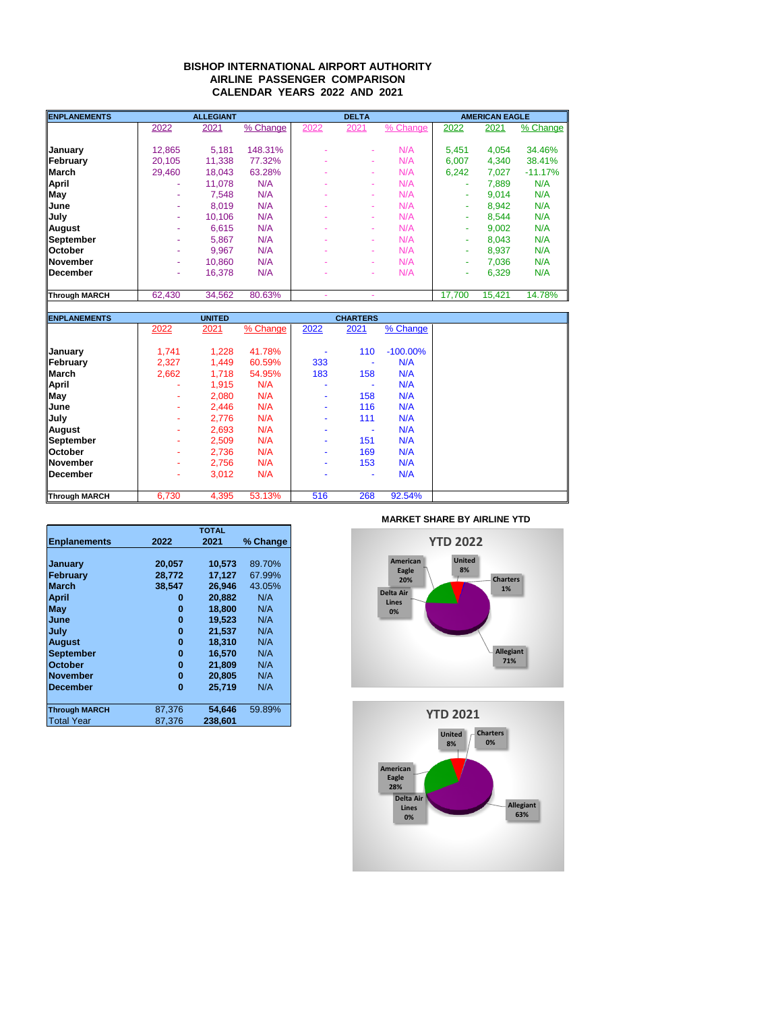## **BISHOP INTERNATIONAL AIRPORT AUTHORITY AIRLINE PASSENGER COMPARISON CALENDAR YEARS 2022 AND 2021**

| <b>ENPLANEMENTS</b>  |        | <b>ALLEGIANT</b> |          |      | <b>DELTA</b>             |          |        | <b>AMERICAN EAGLE</b> |           |  |
|----------------------|--------|------------------|----------|------|--------------------------|----------|--------|-----------------------|-----------|--|
|                      | 2022   | 2021             | % Change | 2022 | 2021                     | % Change | 2022   | 2021                  | % Change  |  |
| <b>January</b>       | 12.865 | 5.181            | 148.31%  |      | ÷                        | N/A      | 5.451  | 4.054                 | 34.46%    |  |
| February             | 20.105 | 11.338           | 77.32%   |      | ÷                        | N/A      | 6.007  | 4.340                 | 38.41%    |  |
| <b>March</b>         | 29.460 | 18.043           | 63.28%   |      | ÷                        | N/A      | 6.242  | 7.027                 | $-11.17%$ |  |
| <b>April</b>         | ٠      | 11.078           | N/A      |      | ÷                        | N/A      | ۰      | 7.889                 | N/A       |  |
| <b>May</b>           |        | 7.548            | N/A      |      | ٠                        | N/A      | ٠      | 9.014                 | N/A       |  |
| lJune                |        | 8.019            | N/A      |      | ÷                        | N/A      |        | 8.942                 | N/A       |  |
| <b>July</b>          |        | 10.106           | N/A      |      | ÷                        | N/A      |        | 8.544                 | N/A       |  |
| <b>August</b>        |        | 6.615            | N/A      |      | ÷                        | N/A      | ۰      | 9.002                 | N/A       |  |
| September            |        | 5.867            | N/A      |      | ÷                        | N/A      | ۰      | 8.043                 | N/A       |  |
| <b>October</b>       | ٠      | 9.967            | N/A      |      | ÷                        | N/A      | ۰      | 8.937                 | N/A       |  |
| <b>November</b>      | ٠      | 10.860           | N/A      |      | ÷                        | N/A      | ۰      | 7.036                 | N/A       |  |
| <b>IDecember</b>     |        | 16.378           | N/A      |      | $\overline{\phantom{a}}$ | N/A      | ۰      | 6,329                 | N/A       |  |
| <b>Through MARCH</b> | 62.430 | 34.562           | 80.63%   |      |                          |          | 17.700 | 15.421                | 14.78%    |  |

| <b>ENPLANEMENTS</b>  |                          | <b>UNITED</b> |          |      | <b>CHARTERS</b> |             |  |
|----------------------|--------------------------|---------------|----------|------|-----------------|-------------|--|
|                      | 2022                     | 2021          | % Change | 2022 | 2021            | % Change    |  |
| <b>January</b>       | 1.741                    | 1,228         | 41.78%   |      | 110             | $-100.00\%$ |  |
| February             | 2,327                    | 1,449         | 60.59%   | 333  |                 | N/A         |  |
| <b>March</b>         | 2,662                    | 1,718         | 54.95%   | 183  | 158             | N/A         |  |
| <b>April</b>         |                          | 1,915         | N/A      | ۰    |                 | N/A         |  |
| <b>May</b>           |                          | 2.080         | N/A      | ۰    | 158             | N/A         |  |
| <b>June</b>          | $\overline{\phantom{a}}$ | 2,446         | N/A      | ۰    | 116             | N/A         |  |
| <b>July</b>          |                          | 2,776         | N/A      |      | 111             | N/A         |  |
| August               |                          | 2,693         | N/A      |      |                 | N/A         |  |
| September            |                          | 2,509         | N/A      | ۰    | 151             | N/A         |  |
| <b>October</b>       | ٠                        | 2,736         | N/A      | ۰    | 169             | N/A         |  |
| <b>November</b>      |                          | 2,756         | N/A      | ۰    | 153             | N/A         |  |
| December             |                          | 3,012         | N/A      |      | ۰               | N/A         |  |
| <b>Through MARCH</b> | 6,730                    | 4,395         | 53.13%   | 516  | 268             | 92.54%      |  |

|                      | <b>TOTAL</b> |         |          |  |  |  |
|----------------------|--------------|---------|----------|--|--|--|
| <b>Enplanements</b>  | 2022         | 2021    | % Change |  |  |  |
|                      |              |         |          |  |  |  |
| January              | 20,057       | 10,573  | 89.70%   |  |  |  |
| <b>February</b>      | 28.772       | 17.127  | 67.99%   |  |  |  |
| <b>March</b>         | 38.547       | 26.946  | 43.05%   |  |  |  |
| <b>April</b>         | 0            | 20,882  | N/A      |  |  |  |
| May                  | 0            | 18.800  | N/A      |  |  |  |
| June                 | 0            | 19.523  | N/A      |  |  |  |
| July                 | 0            | 21.537  | N/A      |  |  |  |
| <b>August</b>        | 0            | 18.310  | N/A      |  |  |  |
| <b>September</b>     | 0            | 16.570  | N/A      |  |  |  |
| <b>October</b>       | 0            | 21.809  | N/A      |  |  |  |
| <b>November</b>      | 0            | 20.805  | N/A      |  |  |  |
| <b>December</b>      | 0            | 25.719  | N/A      |  |  |  |
|                      |              |         |          |  |  |  |
| <b>Through MARCH</b> | 87,376       | 54.646  | 59.89%   |  |  |  |
| <b>Total Year</b>    | 87.376       | 238,601 |          |  |  |  |

**MARKET SHARE BY AIRLINE YTD**